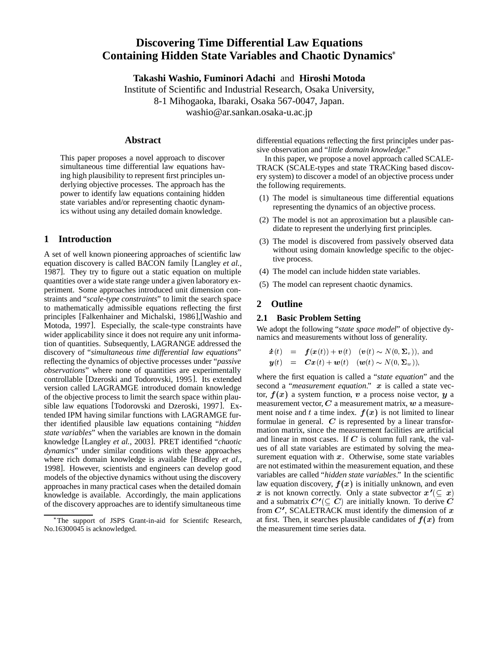# **Discovering Time Differential Law Equations Containing Hidden State Variables and Chaotic Dynamics**

**Takashi Washio, Fuminori Adachi** and **Hiroshi Motoda**

Institute of Scientific and Industrial Research, Osaka University, 8-1 Mihogaoka, Ibaraki, Osaka 567-0047, Japan. washio@ar.sankan.osaka-u.ac.jp

# **Abstract**

This paper proposes a novel approach to discover simultaneous time differential law equations having high plausibility to represent first principles underlying objective processes. The approach has the power to identify law equations containing hidden state variables and/or representing chaotic dynamics without using any detailed domain knowledge.

# **1 Introduction**

A set of well known pioneering approaches of scientific law equation discovery is called BACON family [Langley *et al.*, 1987]. They try to figure out a static equation on multiple quantities over a wide state range under a given laboratory experiment. Some approaches introduced unit dimension constraints and "*scale-type constraints*" to limit the search space to mathematically admissible equations reflecting the first principles [Falkenhainer and Michalski, 1986],[Washio and Motoda, 1997]. Especially, the scale-type constraints have wider applicability since it does not require any unit information of quantities. Subsequently, LAGRANGE addressed the discovery of "*simultaneous time differential law equations*" reflecting the dynamics of objective processes under "*passive observations*" where none of quantities are experimentally controllable [Dzeroski and Todorovski, 1995]. Its extended version called LAGRAMGE introduced domain knowledge of the objective process to limit the search space within plausible law equations [Todorovski and Dzeroski, 1997]. Extended IPM having similar functions with LAGRAMGE further identified plausible law equations containing "*hidden state variables*" when the variables are known in the domain knowledge [Langley *et al.*, 2003]. PRET identified "*chaotic dynamics*" under similar conditions with these approaches where rich domain knowledge is available [Bradley *et al.*, 1998]. However, scientists and engineers can develop good models of the objective dynamics without using the discovery approaches in many practical cases when the detailed domain knowledge is available. Accordingly, the main applications of the discovery approaches are to identify simultaneous time

differential equations reflecting the first principles under passive observation and "*little domain knowledge*."

In this paper, we propose a novel approach called SCALE-TRACK (SCALE-types and state TRACKing based discovery system) to discover a model of an objective process under the following requirements.

- (1) The model is simultaneous time differential equations representing the dynamics of an objective process.
- (2) The model is not an approximation but a plausible candidate to represent the underlying first principles.
- (3) The model is discovered from passively observed data without using domain knowledge specific to the objective process.
- (4) The model can include hidden state variables.
- (5) The model can represent chaotic dynamics.

# **2 Outline**

### **2.1 Basic Problem Setting**

We adopt the following "*state space model*" of objective dynamics and measurements without loss of generality.

$$
\dot{\boldsymbol{x}}(t) = \boldsymbol{f}(\boldsymbol{x}(t)) + \boldsymbol{v}(t) \quad (\boldsymbol{v}(t) \sim N(0, \boldsymbol{\Sigma}_v)), \text{ and} \n\boldsymbol{y}(t) = \boldsymbol{C}\boldsymbol{x}(t) + \boldsymbol{w}(t) \quad (\boldsymbol{w}(t) \sim N(0, \boldsymbol{\Sigma}_w)),
$$

where the first equation is called a "*state equation*" and the second a "*measurement equation*." x is called a state vector,  $f(x)$  a system function,  $v$  a process noise vector,  $y$  a measurement vector,  $C$  a measurement matrix,  $w$  a measurement noise and t a time index.  $f(x)$  is not limited to linear formulae in general.  $C$  is represented by a linear transformation matrix, since the measurement facilities are artificial and linear in most cases. If  $C$  is column full rank, the values of all state variables are estimated by solving the measurement equation with  $x$ . Otherwise, some state variables are not estimated within the measurement equation, and these variables are called "*hidden state variables*." In the scientific law equation discovery,  $f(x)$  is initially unknown, and even x is not known correctly. Only a state subvector  $x'(\subseteq x)$ and a submatrix  $C'(\subseteq C)$  are initially known. To derive  $C$ from  $C'$ , SCALETRACK must identify the dimension of  $x$ at first. Then, it searches plausible candidates of  $f(x)$  from the measurement time series data.

The support of JSPS Grant-in-aid for Scientifc Research, No.16300045 is acknowledged.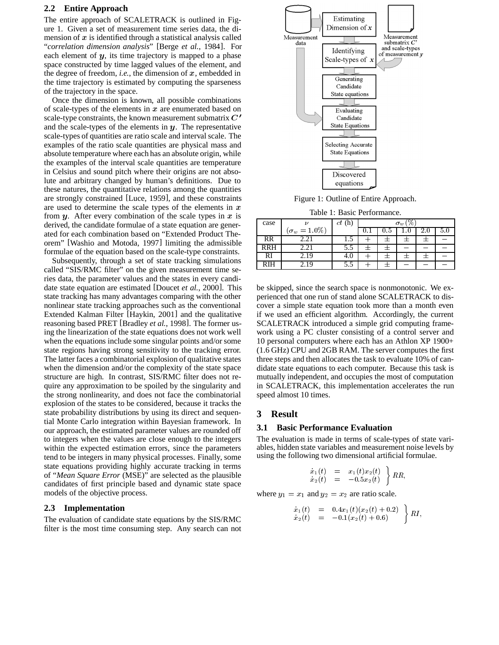### **2.2 Entire Approach**

The entire approach of SCALETRACK is outlined in Figure 1. Given a set of measurement time series data, the dimension of  $x$  is identified through a statistical analysis called "*correlation dimension analysis*" [Berge *et al.*, 1984]. For each element of  $y$ , its time trajectory is mapped to a phase space constructed by time lagged values of the element, and the degree of freedom, *i.e.*, the dimension of  $x$ , embedded in the time trajectory is estimated by computing the sparseness of the trajectory in the space.

Once the dimension is known, all possible combinations of scale-types of the elements in  $x$  are enumerated based on scale-type constraints, the known measurement submatrix  $C'$ and the scale-types of the elements in  $y$ . The representative scale-types of quantities are ratio scale and interval scale. The examples of the ratio scale quantities are physical mass and absolute temperature where each has an absolute origin, while the examples of the interval scale quantities are temperature in Celsius and sound pitch where their origins are not absolute and arbitrary changed by human's definitions. Due to these natures, the quantitative relations among the quantities are strongly constrained [Luce, 1959], and these constraints are used to determine the scale types of the elements in  $x$ from  $y$ . After every combination of the scale types in  $x$  is derived, the candidate formulae of a state equation are generated for each combination based on "Extended Product Theorem" [Washio and Motoda, 1997] limiting the admissible formulae of the equation based on the scale-type constraints.

Subsequently, through a set of state tracking simulations called "SIS/RMC filter" on the given measurement time series data, the parameter values and the states in every candidate state equation are estimated [Doucet *et al.*, 2000]. This state tracking has many advantages comparing with the other nonlinear state tracking approaches such as the conventional Extended Kalman Filter [Haykin, 2001] and the qualitative reasoning based PRET [Bradley *et al.*, 1998]. The former using the linearization of the state equations does not work well when the equations include some singular points and/or some state regions having strong sensitivity to the tracking error. The latter faces a combinatorial explosion of qualitative states when the dimension and/or the complexity of the state space structure are high. In contrast, SIS/RMC filter does not require any approximation to be spoiled by the singularity and the strong nonlinearity, and does not face the combinatorial explosion of the states to be considered, because it tracks the state probability distributions by using its direct and sequential Monte Carlo integration within Bayesian framework. In our approach, the estimated parameter values are rounded off to integers when the values are close enough to the integers within the expected estimation errors, since the parameters tend to be integers in many physical processes. Finally, some state equations providing highly accurate tracking in terms of "*Mean Square Error* (MSE)" are selected as the plausible candidates of first principle based and dynamic state space models of the objective process.

#### **2.3 Implementation**

The evaluation of candidate state equations by the SIS/RMC filter is the most time consuming step. Any search can not



Figure 1: Outline of Entire Approach.

Table 1: Basic Performance.

| case       |                      | ct(h) | $\sigma_w$ |     |     |     |     |
|------------|----------------------|-------|------------|-----|-----|-----|-----|
|            | $(\sigma_w = 1.0\%)$ |       | v.⊥        | U.O | ن . | 4.U | 5.U |
| RR         |                      | 1.J   |            |     |     |     |     |
| <b>RRH</b> | 2.21                 | 5.5   |            |     |     |     |     |
| RI         | 2.19                 | 4.U   |            |     |     |     |     |
|            |                      | ر.ر   |            |     |     |     |     |

be skipped, since the search space is nonmonotonic. We experienced that one run of stand alone SCALETRACK to discover a simple state equation took more than a month even if we used an efficient algorithm. Accordingly, the current SCALETRACK introduced a simple grid computing framework using a PC cluster consisting of a control server and 10 personal computers where each has an Athlon XP 1900+ (1.6 GHz) CPU and 2GB RAM. The server computes the first three steps and then allocates the task to evaluate 10% of candidate state equations to each computer. Because this task is mutually independent, and occupies the most of computation in SCALETRACK, this implementation accelerates the run speed almost 10 times.

#### **3 Result**

#### **3.1 Basic Performance Evaluation**

The evaluation is made in terms of scale-types of state variables, hidden state variables and measurement noise levels by using the following two dimensional artificial formulae.

$$
\left. \begin{array}{rcl} \dot{x}_1(t) & = & x_1(t)x_2(t) \\ \dot{x}_2(t) & = & -0.5x_2(t) \end{array} \right\} RR,
$$

where  $y_1 = x_1$  and  $y_2 = x_2$  are ratio scale.

$$
\begin{array}{lcl} \dot{x}_1(t) & = & 0.4x_1(t)(x_2(t)+0.2) \\ \dot{x}_2(t) & = & -0.1(x_2(t)+0.6) \end{array} \bigg\} \, RI,
$$